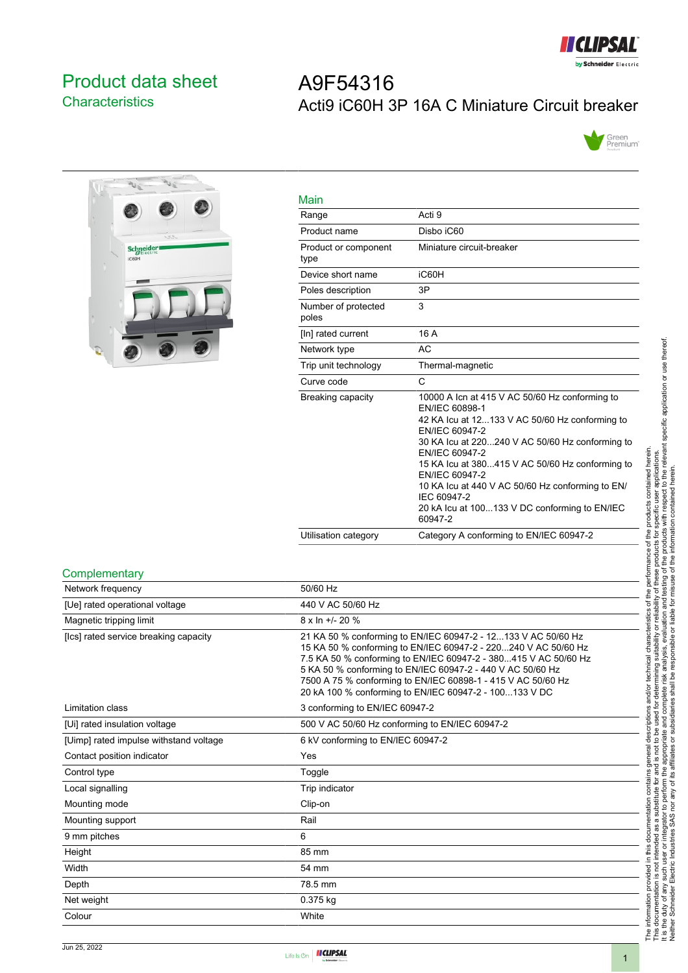

Green<br>Premium<sup>-</sup>

# <span id="page-0-0"></span>Product data sheet **Characteristics**

# $\overline{P}_{\text{G}}$  $\overline{v}_i$ Schneider

| Main                         |                                                                                                                                                                                                                                                                                                                                                                                                               |
|------------------------------|---------------------------------------------------------------------------------------------------------------------------------------------------------------------------------------------------------------------------------------------------------------------------------------------------------------------------------------------------------------------------------------------------------------|
| Range                        | Acti 9                                                                                                                                                                                                                                                                                                                                                                                                        |
| Product name                 | Disbo iC60                                                                                                                                                                                                                                                                                                                                                                                                    |
| Product or component<br>type | Miniature circuit-breaker                                                                                                                                                                                                                                                                                                                                                                                     |
| Device short name            | iC60H                                                                                                                                                                                                                                                                                                                                                                                                         |
| Poles description            | 3P                                                                                                                                                                                                                                                                                                                                                                                                            |
| Number of protected<br>poles | 3                                                                                                                                                                                                                                                                                                                                                                                                             |
| [In] rated current           | 16 A                                                                                                                                                                                                                                                                                                                                                                                                          |
| Network type                 | AC                                                                                                                                                                                                                                                                                                                                                                                                            |
| Trip unit technology         | Thermal-magnetic                                                                                                                                                                                                                                                                                                                                                                                              |
| Curve code                   | C                                                                                                                                                                                                                                                                                                                                                                                                             |
| Breaking capacity            | 10000 A Icn at 415 V AC 50/60 Hz conforming to<br>EN/IEC 60898-1<br>42 KA Icu at 12133 V AC 50/60 Hz conforming to<br>EN/IEC 60947-2<br>30 KA Icu at 220240 V AC 50/60 Hz conforming to<br>EN/IEC 60947-2<br>15 KA lcu at 380415 V AC 50/60 Hz conforming to<br>EN/IEC 60947-2<br>10 KA lcu at 440 V AC 50/60 Hz conforming to EN/<br>IEC 60947-2<br>20 kA lcu at 100133 V DC conforming to EN/IEC<br>60947-2 |

Utilisation category Category A conforming to EN/IEC 60947-2

Acti9 iC60H 3P 16A C Miniature Circuit breaker

|  | Complementary |
|--|---------------|
|  |               |

| 50/60 Hz                                                                                                                                                                                                                                                                                                                                                                                   |
|--------------------------------------------------------------------------------------------------------------------------------------------------------------------------------------------------------------------------------------------------------------------------------------------------------------------------------------------------------------------------------------------|
| 440 V AC 50/60 Hz                                                                                                                                                                                                                                                                                                                                                                          |
| $8 \times \ln +1$ - 20 %                                                                                                                                                                                                                                                                                                                                                                   |
| 21 KA 50 % conforming to EN/IEC 60947-2 - 12133 V AC 50/60 Hz<br>15 KA 50 % conforming to EN/IEC 60947-2 - 220240 V AC 50/60 Hz<br>7.5 KA 50 % conforming to EN/IEC 60947-2 - 380415 V AC 50/60 Hz<br>5 KA 50 % conforming to EN/IEC 60947-2 - 440 V AC 50/60 Hz<br>7500 A 75 % conforming to EN/IEC 60898-1 - 415 V AC 50/60 Hz<br>20 kA 100 % conforming to EN/IEC 60947-2 - 100133 V DC |
| 3 conforming to EN/IEC 60947-2                                                                                                                                                                                                                                                                                                                                                             |
| 500 V AC 50/60 Hz conforming to EN/IEC 60947-2                                                                                                                                                                                                                                                                                                                                             |
| 6 kV conforming to EN/IEC 60947-2                                                                                                                                                                                                                                                                                                                                                          |
| Yes                                                                                                                                                                                                                                                                                                                                                                                        |
| Toggle                                                                                                                                                                                                                                                                                                                                                                                     |
| Trip indicator                                                                                                                                                                                                                                                                                                                                                                             |
| Clip-on                                                                                                                                                                                                                                                                                                                                                                                    |
| Rail                                                                                                                                                                                                                                                                                                                                                                                       |
| 6                                                                                                                                                                                                                                                                                                                                                                                          |
| 85 mm                                                                                                                                                                                                                                                                                                                                                                                      |
| 54 mm                                                                                                                                                                                                                                                                                                                                                                                      |
| 78.5 mm                                                                                                                                                                                                                                                                                                                                                                                    |
| 0.375 kg                                                                                                                                                                                                                                                                                                                                                                                   |
| White                                                                                                                                                                                                                                                                                                                                                                                      |
|                                                                                                                                                                                                                                                                                                                                                                                            |

A9F54316